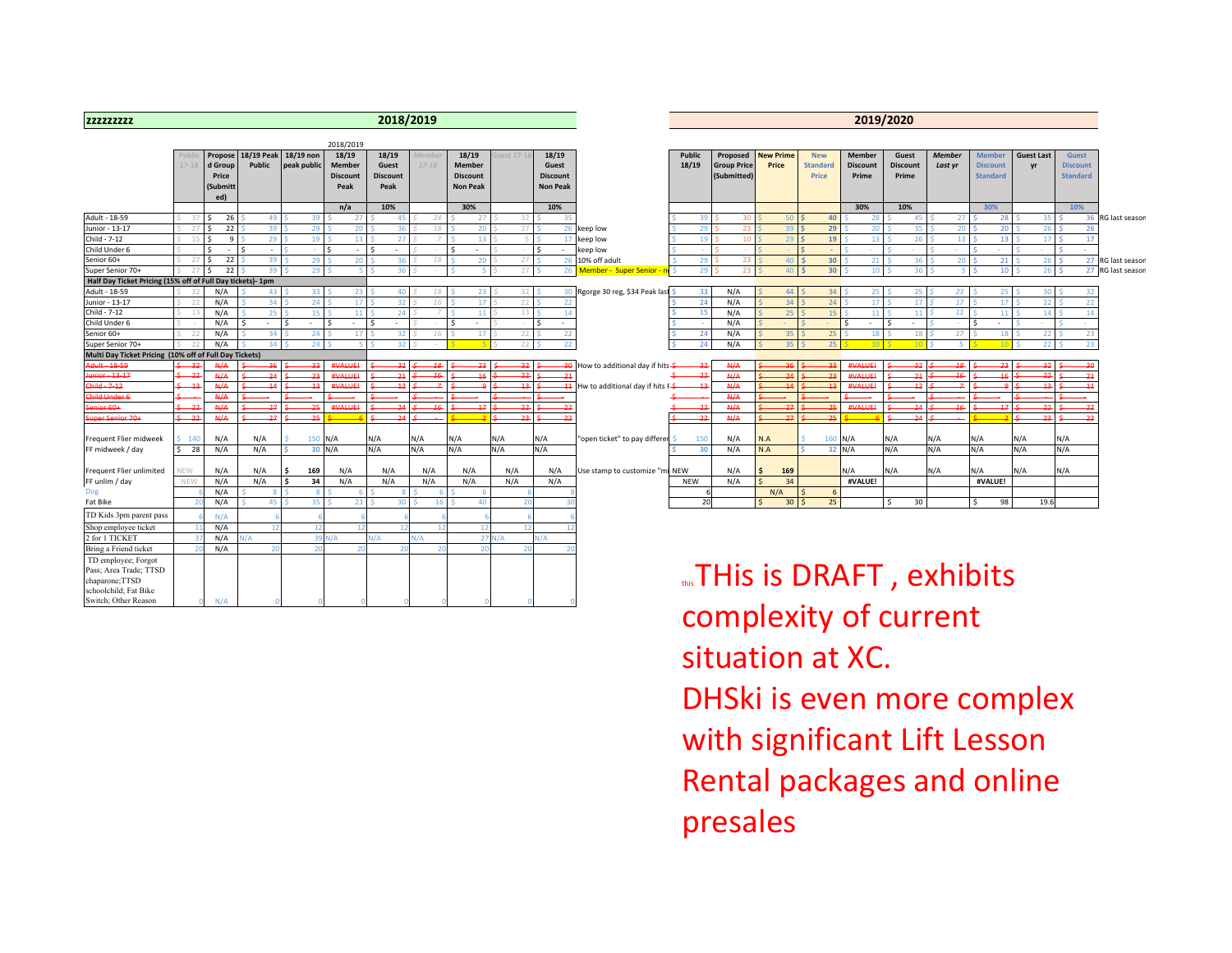| <b>ZZZZZZZZZZZ</b>                                         |             |                                                |                      |                          |                                            |                                           | 2018/2019                 |                                                              |         |                                                      |                                             |                        |                                                      |                                          |                                        |                                    | 2019/2020                         |                          |                                                     |                         |                                                    |                   |
|------------------------------------------------------------|-------------|------------------------------------------------|----------------------|--------------------------|--------------------------------------------|-------------------------------------------|---------------------------|--------------------------------------------------------------|---------|------------------------------------------------------|---------------------------------------------|------------------------|------------------------------------------------------|------------------------------------------|----------------------------------------|------------------------------------|-----------------------------------|--------------------------|-----------------------------------------------------|-------------------------|----------------------------------------------------|-------------------|
|                                                            |             |                                                |                      |                          | 2018/2019                                  |                                           |                           |                                                              |         |                                                      |                                             |                        |                                                      |                                          |                                        |                                    |                                   |                          |                                                     |                         |                                                    |                   |
|                                                            | $17 - 18$   | Propose<br>d Group<br>Price<br>(Submitt<br>ed) | 18/19 Peak<br>Public | 18/19 non<br>peak public | 18/19<br>Member<br><b>Discount</b><br>Peak | 18/19<br>Guest<br><b>Discount</b><br>Peak | <u>Летbе</u><br>$17 - 18$ | 18/19<br><b>Member</b><br><b>Discount</b><br><b>Non Peak</b> | est 17- | 18/19<br>Guest<br><b>Discount</b><br><b>Non Peak</b> |                                             | <b>Public</b><br>18/19 | <b>Proposed</b><br><b>Group Price</b><br>(Submitted) | <b>New Prime</b><br>Price                | <b>New</b><br><b>Standard</b><br>Price | Member<br><b>Discount</b><br>Prime | Guest<br><b>Discount</b><br>Prime | <b>Member</b><br>Last yr | <b>Member</b><br><b>Discount</b><br><b>Standard</b> | <b>Guest Last</b><br>yr | <b>Guest</b><br><b>Discount</b><br><b>Standard</b> |                   |
|                                                            |             |                                                |                      |                          | n/a                                        | 10%                                       |                           | 30%                                                          |         | 10%                                                  |                                             |                        |                                                      |                                          |                                        | 30%                                | 10%                               |                          | 30%                                                 |                         | 10%                                                |                   |
| Adult - 18-59                                              | 37          | 26                                             | 49                   | 39                       | 27                                         |                                           | 24                        | 27                                                           |         |                                                      |                                             |                        |                                                      | 50                                       | 40                                     | -28                                | 45                                | 27                       | 28                                                  | 35                      | 36 <sup>1</sup>                                    | RG last seasor    |
| Junior - 13-17                                             |             | 22                                             | 39                   | 29                       | 20                                         |                                           |                           | 20                                                           |         | 26                                                   | keep low                                    |                        |                                                      |                                          | 29                                     | 20                                 | 31                                | 20                       | 20                                                  | 26                      | 26                                                 |                   |
| Child - 7-12                                               | 15          | 9                                              | 29                   | 19                       | 13                                         | 27                                        |                           | 13                                                           |         |                                                      | keep low                                    | 19                     | 10                                                   | 29                                       | 19                                     | 13                                 | 26                                | 13                       | 13                                                  | 17                      | -17                                                |                   |
| Child Under 6                                              |             | $\sim$                                         | $\sim$               |                          | $\overline{\phantom{a}}$                   | $\overline{\phantom{a}}$                  |                           |                                                              |         |                                                      | keep low                                    |                        |                                                      |                                          |                                        |                                    |                                   |                          |                                                     |                         |                                                    |                   |
| Senior 60+                                                 | 27          | 22                                             | 39                   | 29                       | 20                                         |                                           |                           | 20                                                           |         |                                                      | 10% off adult                               |                        |                                                      | $\Lambda$ <sup><math>\Omega</math></sup> | 30                                     |                                    |                                   |                          | 21                                                  | 26                      |                                                    | 27 RG last seasor |
| Super Senior 70+                                           | 27          | 22                                             | 39                   | 29                       |                                            |                                           |                           |                                                              |         | 26                                                   | Member - Super Senior -                     |                        |                                                      |                                          | 30 <sub>2</sub>                        |                                    |                                   |                          | 10 <sup>1</sup>                                     | 26                      |                                                    | 27 RG last seasor |
| Half Day Ticket Pricing (15% off of Full Day tickets)- 1pm |             |                                                |                      |                          |                                            |                                           |                           |                                                              |         |                                                      |                                             |                        |                                                      |                                          |                                        |                                    |                                   |                          |                                                     |                         |                                                    |                   |
| Adult - 18-59                                              | 32          | N/A                                            | 43                   | 33                       | 23                                         | 40                                        |                           | 23                                                           |         |                                                      | Rgorge 30 reg, \$34 Peak last               | 33                     | N/A                                                  | 44                                       | 34                                     | 25                                 | 25                                | 23                       | 25                                                  | 30                      | 32                                                 |                   |
| Junior - 13-17                                             |             | N/A                                            | 34                   | 24                       | 17                                         | 32                                        |                           | 17                                                           | 22      | 22                                                   |                                             | 24                     | N/A                                                  | 34                                       | 24                                     | 17                                 | 17                                | 17                       | 17                                                  | 22                      | 22                                                 |                   |
| Child - 7-12                                               |             | N/A                                            | 25                   | 15                       | 11                                         | 24                                        |                           | 11                                                           |         |                                                      |                                             | 15                     | N/A                                                  | 25                                       | 15                                     | 11                                 | 11                                | 11                       | 11                                                  | 14                      | 14                                                 |                   |
| Child Under 6                                              |             | N/A                                            | $\sim$               | $\sim$                   | $\sim$                                     | ٠                                         |                           |                                                              |         |                                                      |                                             |                        | N/A                                                  |                                          |                                        | $\sim$                             | $\sim$                            |                          | $\overline{\phantom{a}}$                            |                         |                                                    |                   |
| Senior 60+                                                 | $2^{\circ}$ | N/A                                            | 34                   | 24                       |                                            | 32                                        |                           |                                                              |         | 22                                                   |                                             | 24                     | N/A                                                  | 35                                       | 25                                     | 18                                 | 18                                | 17                       | 18                                                  | 22                      | 23                                                 |                   |
| Super Senior 70+                                           |             | N/A                                            | 34                   | 24                       |                                            | 20                                        |                           |                                                              |         | 22                                                   |                                             | 24                     | N/A                                                  | 35                                       |                                        |                                    | 10                                |                          | 10                                                  | 22                      | 23                                                 |                   |
| Multi Day Ticket Pricing (10% off of Full Day Tickets)     |             |                                                |                      |                          |                                            |                                           |                           |                                                              |         |                                                      |                                             |                        |                                                      |                                          |                                        |                                    |                                   |                          |                                                     |                         |                                                    |                   |
| <b>Adult</b> 18 59                                         |             |                                                |                      |                          | <b>#VALUE</b>                              |                                           |                           |                                                              |         |                                                      | low to additional day if hits <del>\$</del> |                        | A/4                                                  |                                          |                                        | <b>HVALLIE</b>                     |                                   |                          |                                                     |                         |                                                    |                   |
| Junior 13 17                                               | $-22$       | A/A                                            |                      |                          | <b>#VALUE</b>                              |                                           |                           |                                                              | جو      | $-21$                                                |                                             |                        | N/A                                                  |                                          |                                        | #VALUE                             | 21                                |                          |                                                     |                         |                                                    |                   |
| <b>Child 7 12</b>                                          | - 13        | A/4A                                           | 11                   |                          | <b>#VALUE</b>                              |                                           |                           |                                                              | 43      | $\overline{11}$                                      | Hw to additional day if hits F-S-           |                        | A/4                                                  |                                          |                                        | <b>#VALUE</b>                      |                                   |                          |                                                     | 12                      |                                                    |                   |
| Child Under 6                                              |             | A/A                                            |                      |                          |                                            |                                           |                           |                                                              |         |                                                      |                                             |                        | M/A                                                  |                                          |                                        |                                    |                                   |                          |                                                     |                         |                                                    |                   |
| Senior 60+                                                 | - 23        | A/A                                            |                      |                          | <b>#VALUE</b>                              |                                           |                           |                                                              |         |                                                      |                                             |                        | A/4                                                  |                                          |                                        | #VALUE                             |                                   |                          |                                                     |                         |                                                    |                   |
| Super Senior 70+                                           | $-22$       | A/A                                            |                      | 25                       |                                            |                                           |                           |                                                              |         | -22                                                  |                                             |                        | A/4                                                  | 27                                       |                                        |                                    |                                   |                          |                                                     |                         |                                                    |                   |
|                                                            |             |                                                |                      |                          |                                            |                                           |                           |                                                              |         |                                                      |                                             |                        |                                                      |                                          |                                        |                                    |                                   |                          |                                                     |                         |                                                    |                   |
| Frequent Flier midweek                                     | $-140$      | N/A                                            | N/A                  | 150                      | N/A                                        | N/A                                       | N/A                       | N/A                                                          | N/A     | N/A                                                  | "open ticket" to pay differer               | 150                    | N/A                                                  | N.A                                      | 160                                    | N/A                                | N/A                               | N/A                      | N/A                                                 | N/A                     | N/A                                                |                   |
| FF midweek / day                                           | \$28        | N/A                                            | N/A                  |                          | 30 N/A                                     | N/A                                       | N/A                       | N/A                                                          | N/A     | N/A                                                  |                                             | 30                     | N/A                                                  | N.A                                      |                                        | 32 N/A                             | N/A                               | N/A                      | N/A                                                 | N/A                     | N/A                                                |                   |
|                                                            |             |                                                |                      |                          |                                            |                                           |                           |                                                              |         |                                                      |                                             |                        |                                                      |                                          |                                        |                                    |                                   |                          |                                                     |                         |                                                    |                   |
| Frequent Flier unlimited                                   | NEW         | N/A                                            | N/A                  | 169                      | N/A                                        | N/A                                       | N/A                       | N/A                                                          | N/A     | N/A                                                  | Use stamp to customize "mi NEW              |                        | N/A                                                  | Ś.<br>169                                |                                        | N/A                                | N/A                               | N/A                      | N/A                                                 | N/A                     | N/A                                                |                   |
| FF unlim / day                                             | NEW         | N/A                                            | N/A                  | 34                       | N/A                                        | N/A                                       | N/A                       | N/A                                                          | N/A     | N/A                                                  |                                             | <b>NEW</b>             | N/A                                                  | 34                                       |                                        | #VALUE!                            |                                   |                          | #VALUE!                                             |                         |                                                    |                   |
| <b>Dog</b>                                                 |             | N/A                                            |                      |                          |                                            |                                           |                           |                                                              |         |                                                      |                                             |                        |                                                      | N/A                                      | 6                                      |                                    |                                   |                          |                                                     |                         |                                                    |                   |
| Fat Bike                                                   |             | N/A                                            | 45                   | 35                       |                                            |                                           |                           |                                                              |         |                                                      |                                             | 20                     |                                                      | 30 <sup>2</sup>                          | 25                                     |                                    | 30                                |                          | 98                                                  | 19.6                    |                                                    |                   |
| TD Kids 3pm parent pass                                    |             | N/A                                            |                      |                          |                                            |                                           |                           |                                                              |         |                                                      |                                             |                        |                                                      |                                          |                                        |                                    |                                   |                          |                                                     |                         |                                                    |                   |
| Shop employee ticket                                       |             | N/A                                            |                      |                          |                                            |                                           |                           |                                                              |         |                                                      |                                             |                        |                                                      |                                          |                                        |                                    |                                   |                          |                                                     |                         |                                                    |                   |
| 2 for 1 TICKET                                             |             | N/A                                            | /Δ                   | 39                       | l/A                                        | ۷A                                        | ١/A                       | 27                                                           | N/A     | N/A                                                  |                                             |                        |                                                      |                                          |                                        |                                    |                                   |                          |                                                     |                         |                                                    |                   |
| Bring a Friend ticket                                      |             | N/A                                            |                      |                          |                                            |                                           |                           |                                                              |         |                                                      |                                             |                        |                                                      |                                          |                                        |                                    |                                   |                          |                                                     |                         |                                                    |                   |
| TD employee; Forgot                                        |             |                                                |                      |                          |                                            |                                           |                           |                                                              |         |                                                      |                                             |                        |                                                      |                                          |                                        |                                    |                                   |                          |                                                     |                         |                                                    |                   |
| Pass; Area Trade; TTSD<br>chaparone; TTSD                  |             |                                                |                      |                          |                                            |                                           |                           |                                                              |         |                                                      |                                             |                        |                                                      | "THis is DRAFT, exhibits                 |                                        |                                    |                                   |                          |                                                     |                         |                                                    |                   |

schoolchild; Fat Bike witch; Other Reason **THIS IS DRAFT, EXNIDITS** complexity of current situation at XC. DHSki is even more complex with significant Lift Lesson Rental packages and online presales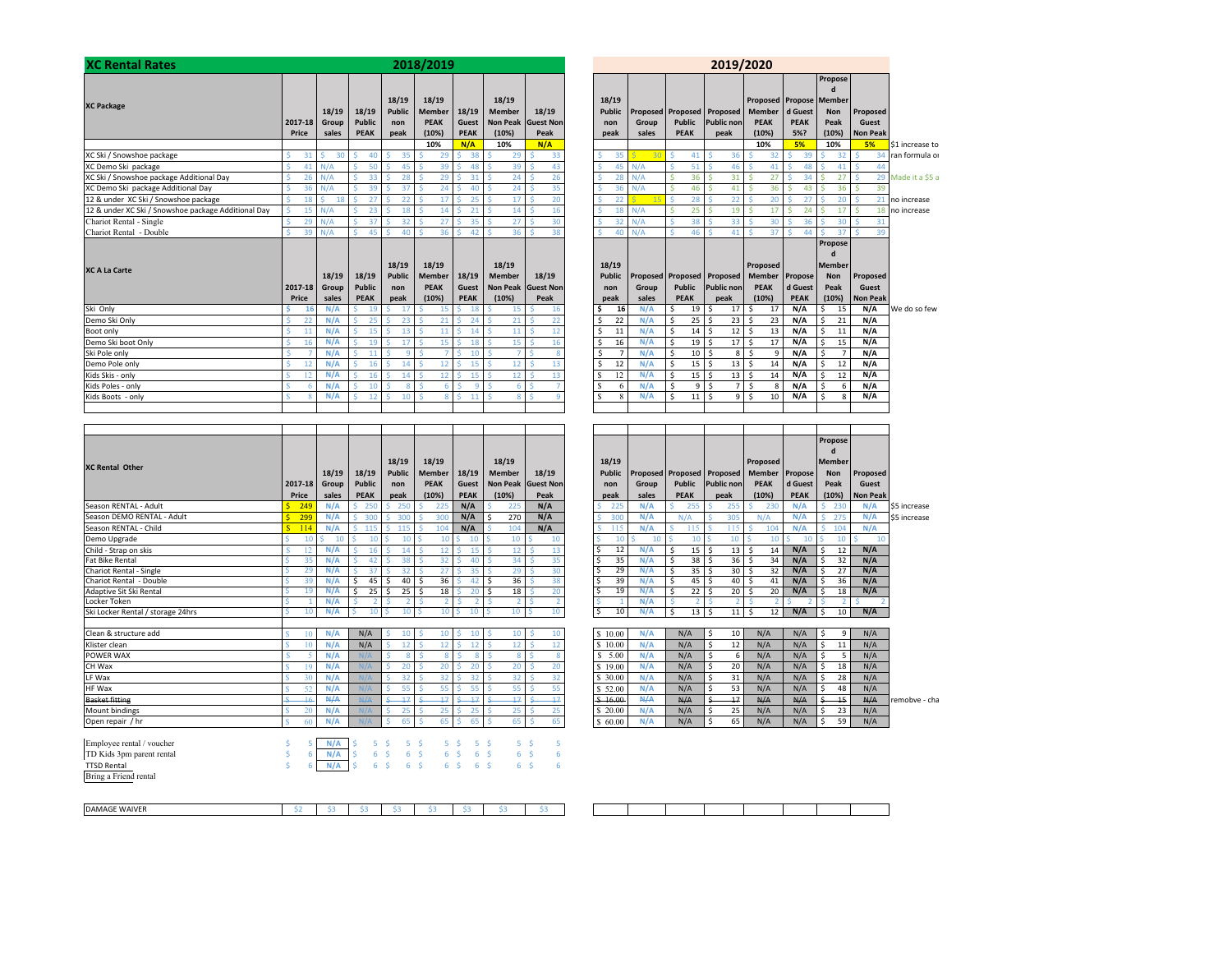| <b>XC Rental Rates</b>                              |   |                  |                         |   |                                       |   |                                       |   | 2018/2019                                             |              |                                      |   |                                                           |   |                                          |
|-----------------------------------------------------|---|------------------|-------------------------|---|---------------------------------------|---|---------------------------------------|---|-------------------------------------------------------|--------------|--------------------------------------|---|-----------------------------------------------------------|---|------------------------------------------|
| <b>XC Package</b>                                   |   | 2017-18<br>Price | 18/19<br>Group<br>sales |   | 18/19<br><b>Public</b><br><b>PEAK</b> |   | 18/19<br><b>Public</b><br>non<br>peak |   | 18/19<br><b>Member</b><br><b>PEAK</b><br>(10%)<br>10% |              | 18/19<br>Guest<br><b>PEAK</b><br>N/A |   | 18/19<br><b>Member</b><br><b>Non Peak</b><br>(10%)<br>10% |   | 18/19<br><b>Guest Non</b><br>Peak<br>N/A |
| XC Ski / Snowshoe package                           | Ś | 31               | Ś<br>30                 | Ś | 40                                    | Ś | 35                                    | Ś | 29                                                    | Ś            | 38                                   | Ś | 29                                                        | Ś | 33                                       |
| XC Demo Ski package                                 | Ś | 41               | N/A                     | Ś | 50                                    | Ś | 45                                    | Ś | 39                                                    | Ŝ            | 48                                   | Ś | 39                                                        | Ś | 43                                       |
| XC Ski / Snowshoe package Additional Day            | Ś | 26               | N/A                     | Ś | 33                                    | Ś | 28                                    | Ś | 29                                                    | Š            | 31                                   | Ś | 24                                                        | Ś | 26                                       |
| XC Demo Ski package Additional Day                  | Ś | 36               | N/A                     | Ś | 39                                    | Ś | 37                                    | Ś | 24                                                    | Ś            | 40                                   | Ś | 24                                                        | Ś | 35                                       |
| 12 & under XC Ski / Snowshoe package                | Ś | 18               | Ś<br>18                 | Ś | 27                                    | Ś | 22                                    | Ś | 17                                                    | Ś            | 25                                   | Ś | 17                                                        | Ś | 20                                       |
| 12 & under XC Ski / Snowshoe package Additional Day | Ś | 15               | N/A                     | Ś | 23                                    | Š | 18                                    | Ś | 14                                                    | Ŝ            | 21                                   | Ś | 14                                                        | Ś | 16                                       |
| Chariot Rental - Single                             | Ś | 29               | N/A                     | Ś | 37                                    | Ś | 32                                    | Ś | 27                                                    | Š            | 35                                   | Ś | 27                                                        | Ś | 30                                       |
| Chariot Rental - Double                             | Ś | 39               | N/A                     | Ś | 45                                    | Ś | 40                                    | Ś | 36                                                    | Š            | 42                                   | Ś | 36                                                        | Ś | 38                                       |
| <b>XC A La Carte</b>                                |   | 2017-18<br>Price | 18/19<br>Group<br>sales |   | 18/19<br><b>Public</b><br><b>PEAK</b> |   | 18/19<br><b>Public</b><br>non<br>peak |   | 18/19<br><b>Member</b><br><b>PEAK</b><br>(10%)        |              | 18/19<br>Guest<br><b>PEAK</b>        |   | 18/19<br><b>Member</b><br><b>Non Peak</b><br>(10%)        |   | 18/19<br><b>Guest Non</b><br>Peak        |
| Ski Only                                            | Ś | 16               | N/A                     | Ś | 19                                    | Ś | 17                                    | Ś | 15                                                    | Ś            | 18                                   | S | 15                                                        | S | 16                                       |
| Demo Ski Only                                       | Ś | 22               | N/A                     | Ś | 25                                    | Ś | 23                                    | Ś | 21                                                    | Ś            | 24                                   | Ś | 21                                                        | Ś | 22                                       |
| Boot only                                           | Ś | 11               | N/A                     | Ś | 15                                    | Ś | 13                                    | Ś | 11                                                    | Ś            | 14                                   | Ś | 11                                                        | Ś | 12                                       |
| Demo Ski boot Only                                  | Ś | 16               | N/A                     | Ś | 19                                    | Ś | 17                                    | Ś | 15                                                    | Ŝ            | 18                                   | Ś | 15                                                        |   | 16                                       |
| Ski Pole only                                       | Ś | $\overline{7}$   | N/A                     | Ś | 11                                    | Š | 9                                     | Š | 7                                                     | <sup>5</sup> | 10                                   | Ś | $\overline{7}$                                            | Ś | 8                                        |
| Demo Pole only                                      | Ś | 12               | N/A                     | Ś | 16                                    | Ś | 14                                    | Ś | 12                                                    | Ś            | 15                                   | Ś | 12                                                        | Ś | 13                                       |
| Kids Skis - only                                    | Ś | 12               | N/A                     | Ś | 16                                    | Ś | 14                                    | Ś | 12                                                    | Ś            | 15                                   | Ś | 12                                                        | Ś | 13                                       |
| Kids Poles - only                                   | Ś | 6                | N/A                     | Ś | 10                                    | Š | 8                                     | Ŝ | 6                                                     | Š            | 9                                    | Ś | 6                                                         | Ś | $\overline{7}$                           |
| Kids Boots - only                                   | Ś | Ř                | N/A                     | Ś | 12                                    | Ś | 10                                    | Ś | 8                                                     | Ś            | 11                                   | Ś | 8                                                         | Š | 9                                        |

|                                   |                     |     |            |               |    |                 |    |                |             |                |               |                |                    |   |          |       |              |                               |    |                   |                                           |             | Propose      |     |                 |
|-----------------------------------|---------------------|-----|------------|---------------|----|-----------------|----|----------------|-------------|----------------|---------------|----------------|--------------------|---|----------|-------|--------------|-------------------------------|----|-------------------|-------------------------------------------|-------------|--------------|-----|-----------------|
|                                   |                     |     |            |               |    |                 |    |                |             |                |               |                |                    |   |          |       |              |                               |    |                   |                                           |             | $\mathbf{d}$ |     |                 |
| <b>XC Rental Other</b>            |                     |     |            |               |    | 18/19           |    | 18/19          |             |                | 18/19         |                |                    |   | 18/19    |       |              |                               |    |                   | Proposed                                  |             | Member       |     |                 |
|                                   |                     |     | 18/19      | 18/19         |    | <b>Public</b>   |    | Member         | 18/19       |                | <b>Member</b> |                | 18/19              |   | Public   |       |              |                               |    |                   | Proposed Proposed Proposed Member Propose |             | Non          |     | Proposed        |
|                                   | 2017-18             |     | Group      | <b>Public</b> |    | non             |    | PEAK           | Guest       |                |               |                | Non Peak Guest Non |   | non      | Group |              | Public                        |    | <b>Public non</b> | <b>PEAK</b>                               | d Guest     | Peak         |     | Guest           |
|                                   | Price               |     | sales      | <b>PEAK</b>   |    | peak            |    | (10%)          | <b>PEAK</b> |                | (10%)         |                | Peak               |   | peak     | sales |              | <b>PEAK</b>                   |    | peak              | (10%)                                     | <b>PEAK</b> | (10%)        |     | <b>Non Peal</b> |
| Season RENTAL - Adult             | 249                 |     | N/A        | 250<br>S.     |    | 250             |    | 225            | N/A         |                | 225           |                | N/A                |   | 225      | N/A   |              | 255                           |    | 255               | 230                                       | N/A         |              | 230 | N/A             |
| Season DEMO RENTAL - Adult        |                     | 299 | N/A        | 300<br>Ś.     |    | 300             |    | 300            | N/A         | Š.             | 270           |                | N/A                |   | 300      | N/A   |              | N/A                           | ς  | 305               | N/A                                       | N/A         | ¢.           | 275 | N/A             |
| Season RENTAL - Child             | $\mathbf{s}$<br>114 |     | N/A        | s<br>115      |    | 115             |    | 104            | N/A         |                | 104           |                | N/A                |   | -115     | N/A   |              | 115                           |    | 115               | 104                                       | N/A         |              | 104 | N/A             |
| Demo Upgrade                      |                     | 10  | 10         | 10            |    | 10              |    | 10             | 10          |                |               | 10             | 10                 |   | 10       | 10    |              | 10                            |    | 10                | 10                                        | 10          |              | 10  | 10              |
| Child - Strap on skis             |                     |     | N/A        | 16            |    | 14              |    | 12             | Š.<br>15    |                |               | 12             | 13                 |   | 12       | N/A   | Ś            | 15 <sup>5</sup>               |    | 13                | -Ś<br>14                                  | N/A         | Ś            | 12  | N/A             |
| <b>Fat Bike Rental</b>            |                     | 35  | N/A        | 42            |    | 38              |    | 32             | 40<br>ς.    |                |               | 34             | 35                 | S | 35       | N/A   | Ŝ.           | $38$ $\overline{\phantom{1}}$ |    | 36                | 34<br>l \$                                | N/A         | Ś.           | 32  | N/A             |
| Chariot Rental - Single           |                     | 29  | N/A        | 37            |    | 32              |    | 27             | 35          |                |               | 29             | 30                 |   | 29       | N/A   | -Ś           | 35 <sub>5</sub>               |    | 30                | 32<br>l \$                                | N/A         | Ś.           | 27  | N/A             |
| Chariot Rental - Double           |                     | 39  | N/A        | Ś.<br>45      | -Ś | 40 <sup>1</sup> | -S | 36             | 42          |                |               | 36             | 38                 |   | 39       | N/A   | <sup>5</sup> | $45 \,$ $\,$ $\,$ $\,$ 5      |    | 40                | 41<br>l \$                                | N/A         | Ś.           | 36  | N/A             |
| <b>Adaptive Sit Ski Rental</b>    |                     | 19  | N/A        | 25<br>\$      | -S | $25$ S          |    | 18             | 20          |                |               | 18             | 20                 |   | 19       | N/A   | Š.           | $22$ S                        |    | 20                | 20<br>l \$                                | N/A         | Š.           | 18  | N/A             |
| Locker Token                      |                     |     | N/A        |               |    |                 |    |                | ς.          |                |               | $\mathcal{L}$  |                    |   |          | N/A   |              |                               |    | $\overline{2}$    |                                           |             |              | 2   |                 |
| Ski Locker Rental / storage 24hrs |                     | 10  | N/A        |               | 10 | 10 I            |    | 10             | 10          |                |               | 10             | 10                 | Ś | 10       | N/A   | Š.           | $13 \mid 5$                   |    | 11                | 12<br>- Ś                                 | N/A         | Š.           | 10  | N/A             |
|                                   |                     |     |            |               |    |                 |    |                |             |                |               |                |                    |   |          |       |              |                               |    |                   |                                           |             |              |     |                 |
| Clean & structure add             |                     | 10  | N/A        | N/A           |    | 10              |    | 10             | Š.<br>10    |                |               | 10             | 10                 |   | \$10.00  | N/A   |              | N/A                           | S. | 10                | N/A                                       | N/A         | Ś.           | 9   | N/A             |
| Klister clean                     |                     | 10  | N/A        | N/A           |    | ×.<br>12        |    | 12             | S.<br>12    |                |               | 12             | 12                 |   | \$10.00  | N/A   |              | N/A                           | S. | 12                | N/A                                       | N/A         | Ś.           | 11  | N/A             |
| POWER WAX                         |                     |     | N/A        | N/A           |    | 8               |    | -9             | $\epsilon$  | $\mathbf{R}$   |               | $\mathbf{R}$   | R                  |   | \$5.00   | N/A   |              | N/A                           | \$ | 6                 | N/A                                       | N/A         | Ś.           | 5   | N/A             |
| CH Wax                            |                     | 19  | N/A        | N/A           |    | 20              |    | 20             | ς.<br>20    |                |               | 20             | 20                 |   | \$19.00  | N/A   |              | N/A                           | Ŝ. | 20                | N/A                                       | N/A         | Ś.           | 18  | N/A             |
| LF Wax                            |                     | 30  | N/A        | N/A           |    | 32              |    | 32             | 32<br>¢     |                |               | 32             | 32                 |   | \$ 30.00 | N/A   |              | N/A                           | \$ | 31                | N/A                                       | N/A         | Ś.           | 28  | N/A             |
| HF Wax                            |                     | 50  | N/A        | N/A           |    | K.<br>55        |    | 55             | 55          |                |               | 55             | 55                 |   | \$52.00  | N/A   |              | N/A                           | Ś. | 53                | N/A                                       | N/A         | Ś.           | 48  | N/A             |
| <b>Basket fitting</b>             |                     |     | <b>N/A</b> | A H           |    | 47              |    | 47             | 47          |                |               | 17             | 47                 |   | \$16.00  | A/A   |              | N/A                           | \$ | $+7$              | A/A                                       | A/A         |              | 15  | A/A             |
| Mount bindings                    |                     | 20  | N/A        | N/A           |    | 25              |    | 25             | 25          |                |               | 25             | 25                 |   | \$ 20.00 | N/A   |              | N/A                           | Ŝ. | 25                | N/A                                       | N/A         | Ś            | 23  | N/A             |
| Open repair / hr                  |                     | 60  | N/A        |               |    | 65              |    | 65             | ÷<br>65     |                |               | 65             | 65                 |   | \$60.00  | N/A   |              | N/A                           | Ś. | 65                | N/A                                       | N/A         | Ś.           | 59  | N/A             |
|                                   |                     |     |            |               |    |                 |    |                |             |                |               |                |                    |   |          |       |              |                               |    |                   |                                           |             |              |     |                 |
| Employee rental / voucher         |                     | 5.  | N/A        |               | 5. | 5.              |    |                | -S          | 5.             |               | 5.<br>- Ś      | 5                  |   |          |       |              |                               |    |                   |                                           |             |              |     |                 |
| TD Kids 3pm parent rental         |                     | 6   | N/A        |               | 6  | 6               |    | 6 <sup>5</sup> |             | 6              |               | 6              | -Ś<br>6            |   |          |       |              |                               |    |                   |                                           |             |              |     |                 |
| <b>TTSD Rental</b>                |                     | 6   | N/A        | Ś             | 6  | 6               | -Ś | 6 <sup>5</sup> |             | 6 <sup>5</sup> |               | 6 <sup>5</sup> | 6                  |   |          |       |              |                               |    |                   |                                           |             |              |     |                 |
| Bring a Friend rental             |                     |     |            |               |    |                 |    |                |             |                |               |                |                    |   |          |       |              |                               |    |                   |                                           |             |              |     |                 |
|                                   |                     |     |            |               |    |                 |    |                |             |                |               |                |                    |   |          |       |              |                               |    |                   |                                           |             |              |     |                 |

\$2 \$3 \$3 \$3 \$3 \$3 \$3 \$3

Г  DAMAGE WAIVER

|                    |                   |                                     |                        |                                                                | 2019/2020                                       |               |                 |                               |                   |                                              |                      | 2018/2019                             |                               |                        |                |                |
|--------------------|-------------------|-------------------------------------|------------------------|----------------------------------------------------------------|-------------------------------------------------|---------------|-----------------|-------------------------------|-------------------|----------------------------------------------|----------------------|---------------------------------------|-------------------------------|------------------------|----------------|----------------|
|                    | Proposed<br>Guest | Propose<br>d<br><b>Non</b><br>Peak  | d Guest<br><b>PEAK</b> | <b>Proposed Propose Member</b><br><b>Member</b><br><b>PEAK</b> | Proposed Proposed Proposed<br><b>Public non</b> | <b>Public</b> | Group           | 18/19<br><b>Public</b><br>non | 18/19             | 18/19<br><b>Member</b><br>Non Peak Guest Non | 18/19<br>Guest       | 18/19<br><b>Member</b><br><b>PEAK</b> | 18/19<br><b>Public</b><br>non | 18/19<br><b>Public</b> | 18/19<br>Group | 2017-18        |
|                    | <b>Non Peak</b>   | (10%)                               | 5%?<br>5%              | (10%)                                                          | peak                                            | <b>PEAK</b>   | sales           | peak                          | Peak              | (10%)                                        | <b>PEAK</b>          | (10%)                                 | peak                          | <b>PEAK</b>            | sales          | Price          |
| \$1 increase to    | 5%                | 10%                                 |                        | 10%                                                            |                                                 | Ŕ             | $\overline{30}$ |                               | N/A               | 10%<br>ś                                     | N/A                  | 10%                                   |                               |                        |                |                |
| 34 ran formula or  | Ś<br>Ś<br>44      | S<br>32<br>41<br>Š                  | 39<br>48<br>ς          | 32<br>Ś<br>41                                                  | Š.<br>36<br>46<br><b>S</b>                      | 41<br>Ś<br>51 | N/A             | R<br>35<br>45<br>Ś            | 33<br>43<br>Ś     | 29<br>Ś<br>39                                | 38<br>Š<br>Š<br>48   | Ś<br>29<br>Ś<br>39                    | 35<br>45                      | 40<br>50<br>Š          | 30<br>N/A      | 31<br>41       |
| 29 Made it a \$5 a | Ŝ.                | Ŝ<br>27                             | 34                     | Ś<br>27                                                        | 31<br>'S                                        | Ś<br>36       | N/A             | Ś<br>28                       | 26                | Ś<br>24                                      | 31<br>Š              | 'S<br>29                              | 28                            | 33                     | N/A            | 26             |
|                    | 39<br>Ŝ           | 36<br>.Ŝ                            | 43                     | 36<br>Ŕ                                                        | 41<br>-Ś                                        | 46<br>Ś       | N/A             | 36<br>S                       | 35                | 24<br>ś                                      | 40                   | 24<br>Ś                               | 37                            | 39                     | N/A            | 36             |
| no increase        | 21<br>Ś           | 20<br>Š                             | 27                     | 20<br>ς                                                        | 22<br>.Ŝ                                        | 28<br>Š.      | 15              | Ś<br>22                       | 20<br>Ś           | 17<br>Ś                                      | 25<br>Ŝ              | .Ŝ<br>17                              | 22                            | 27                     | ¢.<br>18       | 18             |
| 18 no increase     | Ś                 | Š<br>17                             | 24                     | 17<br>Ŕ                                                        | 19<br><b>S</b>                                  | 25<br>Ś       | N/A             | 18<br>Š                       | 16                | 14<br>ś                                      | $\overline{21}$<br>Ŕ | 14<br>Ś                               | 18                            | 23                     | N/A            | 15             |
|                    | 31<br>Ś           | Š<br>30                             | 36                     | 30<br>Ś                                                        | 33<br><b>S</b>                                  | Ś<br>38       | N/A             | Ŝ<br>32                       | 30<br>Ś           | Ś<br>27                                      | 35<br>Š              | Ŝ<br>27                               | 32                            | 37<br>Š                | N/A            | 29             |
|                    | 39<br>Ś           | 37                                  | 44                     | 37<br>¢                                                        | 41<br>.Ŝ                                        | Ś<br>46       | N/A             | R<br>40                       | 38                | ś<br>36                                      | 42                   | Ś<br>36                               | 40                            | 45                     | N/A            | 39             |
|                    |                   | Propose                             |                        |                                                                |                                                 |               |                 |                               |                   |                                              |                      |                                       |                               |                        |                |                |
|                    |                   | d                                   |                        |                                                                |                                                 |               |                 |                               |                   |                                              |                      |                                       |                               |                        |                |                |
|                    |                   | <b>Member</b>                       |                        | Proposed                                                       |                                                 |               |                 | 18/19                         |                   | 18/19                                        |                      | 18/19                                 | 18/19<br><b>Public</b>        |                        | 18/19          |                |
|                    |                   |                                     |                        |                                                                |                                                 |               |                 |                               |                   |                                              |                      |                                       |                               |                        |                |                |
|                    | Proposed          | <b>Non</b>                          | Propose                | <b>Member</b>                                                  | Proposed Proposed Proposed                      |               |                 | <b>Public</b>                 | 18/19             | <b>Member</b>                                | 18/19                | <b>Member</b>                         |                               | 18/19                  |                |                |
|                    | Guest             | Peak                                | d Guest                | <b>PEAK</b>                                                    | <b>Public non</b>                               | <b>Public</b> | Group           | non                           |                   | Non Peak Guest Non                           | Guest                | <b>PEAK</b>                           | non                           | <b>Public</b>          | Group          | 2017-18        |
|                    | <b>Non Peak</b>   | (10%)                               | <b>PEAK</b>            | (10%)                                                          | peak                                            | <b>PEAK</b>   | sales           | peak                          | Peak              | (10%)                                        | <b>PEAK</b>          | (10%)                                 | peak                          | <b>PEAK</b>            | sales          | Price          |
| We do so few       | N/A               | \$<br>15                            | N/A                    | \$<br>17                                                       | \$.<br>17                                       | Ś<br>19       | N/A             | 16<br>\$                      | 16                | 15<br>Ś                                      | 18<br>ς              | Ś<br>15                               | 17                            | 19                     | N/A            | 16             |
|                    | N/A<br>N/A        | Ś<br>21<br>11                       | N/A<br>N/A             | \$<br>23<br>Ś                                                  | -Ś<br>23<br><sub>S</sub><br>12                  | \$<br>25<br>Ś | N/A<br>N/A      | \$<br>22<br>11                | 22<br>12<br>¢.    | Ś<br>21<br>Ś<br>11                           | 24<br>Š<br>Ŕ<br>14   | 21<br>'S<br>Ś<br>11                   | 23<br>13                      | 25<br>Ś<br>15          | N/A<br>N/A     | 22<br>11       |
|                    | N/A               | \$<br>$\overline{\mathsf{s}}$<br>15 | N/A                    | 13<br>Ś<br>17                                                  | \$<br>$\overline{17}$                           | 14<br>Ś<br>19 | N/A             | Ś<br>Ś<br>16                  | 16                | 15<br>Ś                                      | 18<br>Š              | 15<br>Ś                               | 17                            | 19                     | N/A            | 16             |
|                    | N/A               | \$<br>$\overline{7}$                | N/A                    | Ś<br>9                                                         | <sub>S</sub><br>8                               | \$<br>10      | N/A             | \$<br>$\overline{7}$          | 8                 | Ś<br>$\overline{7}$                          | Ŕ<br>10              | Š                                     | 9                             | 11                     | N/A            | $\overline{7}$ |
|                    | N/A               | Ŝ<br>12                             | N/A                    | Ś<br>14                                                        | <sub>S</sub><br>13                              | Ś<br>15       | N/A             | 12<br>\$                      | 13                | 12<br>Ś                                      | <b>S</b><br>15       | Ś<br>12                               | 14                            | 16                     | N/A            | 12             |
|                    | N/A               | \$<br>12                            | N/A                    | \$<br>14                                                       | -Ś<br>13                                        | Ś<br>15       | N/A             | 12<br><sup>\$</sup>           | 13                | Ś<br>12                                      | Š<br>15              | Š.<br>12 <sup>1</sup>                 | 14<br>Ś                       | Ś<br>16                | N/A            | 12             |
|                    | N/A               | Ś<br>6                              | N/A                    | Ś<br>8                                                         | <sub>S</sub><br>$\overline{7}$                  | Ś<br>9        | N/A             | S<br>6                        | Š                 | Ś<br>6                                       | -S<br>9              | Š<br>6                                | 8                             | 10                     | N/A            | 6              |
|                    | N/A               | Ś<br>8                              | N/A                    | Ś<br>10                                                        | `S<br>9                                         | Ś<br>11       | N/A             | S<br>8                        | $\mathbf{q}$<br>Ś | 8<br>Ś                                       | Ś<br>11              | 8<br>Ś                                | 10<br>ς                       | 12                     | N/A            | 8              |
|                    |                   |                                     |                        |                                                                |                                                 |               |                 |                               |                   |                                              |                      |                                       |                               |                        |                |                |
|                    |                   |                                     |                        |                                                                |                                                 |               |                 |                               |                   |                                              |                      |                                       |                               |                        |                |                |

|         |       |               |        |                 |               |             |                    |      |       |  |               |       |                            |     |                   |                |     |             |   | Propose       |                 |              |  |
|---------|-------|---------------|--------|-----------------|---------------|-------------|--------------------|------|-------|--|---------------|-------|----------------------------|-----|-------------------|----------------|-----|-------------|---|---------------|-----------------|--------------|--|
|         |       |               |        |                 |               |             |                    |      |       |  |               |       |                            |     |                   |                |     |             |   | d             |                 |              |  |
|         |       |               |        | 18/19           | 18/19         |             | 18/19              |      |       |  | 18/19         |       |                            |     |                   | Proposed       |     |             |   | <b>Member</b> |                 |              |  |
|         | 18/19 | 18/19         |        | <b>Public</b>   | <b>Member</b> | 18/19       | <b>Member</b>      |      | 18/19 |  | <b>Public</b> |       | Proposed Proposed Proposed |     |                   | Member Propose |     |             |   | <b>Non</b>    | Proposed        |              |  |
| 2017-18 | Group | <b>Public</b> |        | non             | <b>PEAK</b>   | Guest       | Non Peak Guest Non |      |       |  | non           | Group | <b>Public</b>              |     | <b>Public non</b> | <b>PEAK</b>    |     | d Guest     |   | Peak          | Guest           |              |  |
| Price   | sales | <b>PEAK</b>   |        | peak            | (10%)         | <b>PEAK</b> | (10%)              | Peak |       |  | peak          | sales | <b>PEAK</b>                |     | peak              | (10%)          |     | <b>PEAK</b> |   | (10%)         | <b>Non Peak</b> |              |  |
| 249     | N/A   |               | 250    | 250             | 225           | N/A         | 225                |      | N/A   |  | 225           | N/A   | 255                        |     | 255               | 23C            |     | N/A         |   | 230           | N/A             | \$5 increase |  |
| 299     | N/A   |               | 300    | 300             | 300           | N/A         | 270                |      | N/A   |  | 300           | N/A   | N/A                        |     | 305               | N/A            | N/A |             |   | 275           | N/A             | \$5 increase |  |
| 114     | N/A   |               | 115    | 115             | 104           | N/A         | 104                |      | N/A   |  | 115           | N/A   | 115                        |     | 115               | 104            | N/A |             |   | 104           | N/A             |              |  |
| 10      | 10    |               |        |                 | 10            | 10          | 10                 |      | 10    |  |               | 10    | 10                         |     | 10                | 10             |     | 10          |   | 10            | 10              |              |  |
| 12      | N/A   |               | 16     | 14              | 12            |             | 12                 |      | 13    |  | 12            | N/A   | $15-1$<br>Ś                | -\$ | 13                | 14             |     | N/A         | Ŝ | 12            | N/A             |              |  |
| 35      | N/A   |               |        | 38              | 32            |             | 34                 |      | 35    |  | 35            | N/A   | 38 <sub>5</sub><br>\$      |     | 36                | 34             |     | N/A         |   | 32            | N/A             |              |  |
| 29      | N/A   |               |        |                 | 27            |             | 29                 |      | 30    |  | 29            | N/A   | 35<br>s                    | ۱\$ | 30                | 32             |     | N/A         |   | 27            | N/A             |              |  |
| 39      | N/A   | Ŝ             | 45     | 40 <sup>5</sup> | 36            |             | 36                 |      | 38    |  | 39            | N/A   | 45<br>Ś                    | ۱\$ | 40                | 41             |     | N/A         | Ŝ | 36            | N/A             |              |  |
| 19      | N/A   | Ŝ             | $25-1$ | 25 S            | 18            |             | 18                 |      | 20    |  | 19            | N/A   | 22                         | -Ś  | 20                | 20             |     | N/A         |   | 18            | N/A             |              |  |
|         | N/A   |               |        |                 |               |             |                    |      |       |  |               | N/A   |                            |     |                   |                |     |             |   |               |                 |              |  |
| 10      | N/A   |               |        |                 | 10            |             | 10                 |      | 10    |  | 10            | N/A   | 13 <sub>1</sub>            | -5  | 11                | 12             | N/A |             |   | 10            | N/A             |              |  |

|    | N/A        | N/A   |  |     |  |     |  |  | 10.00   | N/A | N/A        | 10 | N/A        | N/A        |    | N/A        |                |
|----|------------|-------|--|-----|--|-----|--|--|---------|-----|------------|----|------------|------------|----|------------|----------------|
|    | N/A        | N/A   |  | ∸   |  |     |  |  | 10.00   | N/A | N/A        | 12 | N/A        | N/A        |    | N/A        |                |
|    | N/A        |       |  |     |  |     |  |  | 5.00    | N/A | N/A        |    | N/A        | N/A        |    | N/A        |                |
|    | N/A        |       |  | ۷L  |  | ∼   |  |  | 19.00   | N/A | N/A        | 20 | N/A        | N/A        | 18 | N/A        |                |
|    | N/A        |       |  |     |  | ے د |  |  | 30.00   | N/A | N/A        | 31 | N/A        | N/A        | 28 | N/A        |                |
| -- | N/A        |       |  |     |  |     |  |  | 52.00   | N/A | N/A        | 53 | N/A        | N/A        | 48 | N/A        |                |
|    | <b>N/A</b> | A H A |  |     |  |     |  |  | \$16.00 | A/A | N/A        | 17 | N/A        | A/A        |    | A/A        | Iremobve - cha |
| 20 | N/A        |       |  | ت ک |  | ت ک |  |  | 20.00   | N/A | N/A        | 25 | N/A        | N/A        | 23 | N/A        |                |
|    | N/.        |       |  |     |  |     |  |  | 60.00   |     | $N/\Delta$ | 65 | $N/\Delta$ | $N/\Delta$ | 59 | $N/\Delta$ |                |

──

┰